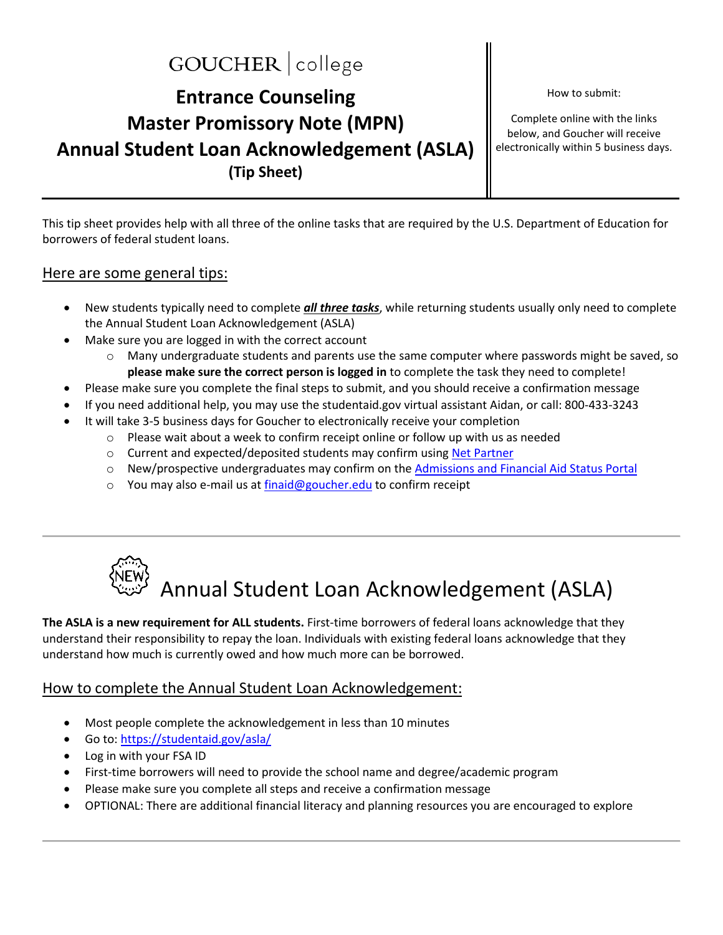## GOUCHER | college

### **Entrance Counseling Master Promissory Note (MPN) Annual Student Loan Acknowledgement (ASLA) (Tip Sheet)**

How to submit:

Complete online with the links below, and Goucher will receive electronically within 5 business days.

This tip sheet provides help with all three of the online tasks that are required by the U.S. Department of Education for borrowers of federal student loans.

#### Here are some general tips:

- New students typically need to complete *all three tasks*, while returning students usually only need to complete the Annual Student Loan Acknowledgement (ASLA)
- Make sure you are logged in with the correct account
	- o Many undergraduate students and parents use the same computer where passwords might be saved, so **please make sure the correct person is logged in** to complete the task they need to complete!
- Please make sure you complete the final steps to submit, and you should receive a confirmation message
- If you need additional help, you may use the studentaid.gov virtual assistant Aidan, or call: 800-433-3243
- It will take 3-5 business days for Goucher to electronically receive your completion
	- $\circ$  Please wait about a week to confirm receipt online or follow up with us as needed
	- o Current and expected/deposited students may confirm usin[g Net Partner](https://www.goucher.edu/financial-aid/net-partner/)
	- $\circ$  New/prospective undergraduates may confirm on the [Admissions and Financial Aid Status Portal](https://apply.goucher.edu/account)
	- o You may also e-mail us at [finaid@goucher.edu](mailto:finaid@goucher.edu) to confirm receipt



**The ASLA is a new requirement for ALL students.** First-time borrowers of federal loans acknowledge that they understand their responsibility to repay the loan. Individuals with existing federal loans acknowledge that they understand how much is currently owed and how much more can be borrowed.

#### How to complete the Annual Student Loan Acknowledgement:

- Most people complete the acknowledgement in less than 10 minutes
- Go to:<https://studentaid.gov/asla/>
- Log in with your FSA ID
- First-time borrowers will need to provide the school name and degree/academic program
- Please make sure you complete all steps and receive a confirmation message
- OPTIONAL: There are additional financial literacy and planning resources you are encouraged to explore